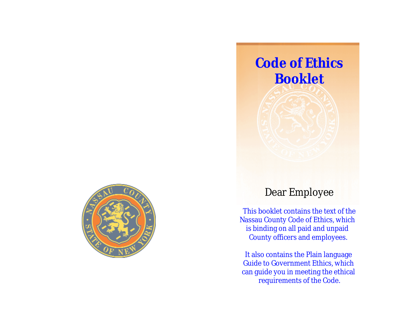

## Dear Employee

**Code of Ethics**

**Booklet**

This booklet contains the text of the Nassau County Code of Ethics, which is binding on all paid and unpaid County officers and employees.

It also contains the Plain language Guide to Government Ethics, which can guide you in meeting the ethical requirements of the Code.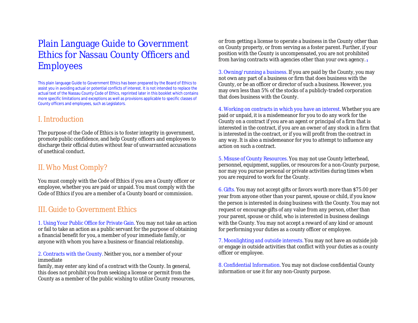## Plain Language Guide to Government Ethics for Nassau County Officers and **Employees**

This plain language Guide to Government Ethics has been prepared by the Board of Ethics to assist you in avoiding actual or potential conflicts of interest. It is not intended to replace the actual text of the Nassau County Code of Ethics, reprinted later in this booklet which contains more specific limitations and exceptions as well as provisions applicable to specific classes of County officers and employees, such as Legislators.

#### I. Introduction

The purpose of the Code of Ethics is to foster integrity in government, promote public confidence, and help County officers and employees to discharge their official duties without fear of unwarranted accusations of unethical conduct.

### II. Who Must Comply?

You must comply with the Code of Ethics if you are a County officer or employee, whether you are paid or unpaid. You must comply with the Code of Ethics if you are a member of a County board or commission.

#### III. Guide to Government Ethics

1. Using Your Public Office for Private Gain. You may not take an action or fail to take an action as a public servant for the purpose of obtaining a financial benefit for you, a member of your immediate family, or anyone with whom you have a business or financial relationship.

#### 2. Contracts with the County. Neither you, nor a member of your immediate

family, may enter any kind of a contract with the County. In general, this does not prohibit you from seeking a license or permit from the County as a member of the public wishing to utilize County resources,

or from getting a license to operate a business in the County other than on County property, or from serving as a foster parent. Further, if your position with the County is uncompensated, you are not prohibited from having contracts with agencies other than your own agency. **<sup>1</sup>**

3. Owning/running a business. If you are paid by the County, you may not own any part of a business or firm that does business with the County, or be an officer or director of such a business. However, you may own less than 5% of the stocks of a publicly-traded corporation that does business with the County.

4. Working on contracts in which you have an interest. Whether you are paid or unpaid, it is a misdemeanor for you to do any work for the County on a contract if you are an agent or principal of a firm that is interested in the contract, if you are an owner of any stock in a firm that is interested in the contract, or if you will profit from the contract in any way. It is also a misdemeanor for you to attempt to influence any action on such a contract.

5. Misuse of County Resources. You may not use County letterhead, personnel, equipment, supplies, or resources for a non-County purpose, nor may you pursue personal or private activities during times when you are required to work for the County.

6. Gifts. You may not accept gifts or favors worth more than \$75.00 per year from anyone other than your parent, spouse or child, if you know the person is interested in doing business with the County. You may not request or encourage gifts of any value from any person, other than your parent, spouse or child, who is interested in business dealings with the County. You may not accept a reward of any kind or amount for performing your duties as a county officer or employee.

7. Moonlighting and outside interests. You may not have an outside job or engage in outside activities that conflict with your duties as a county officer or employee.

8. Confidential Information. You may not disclose confidential County information or use it for any non-County purpose.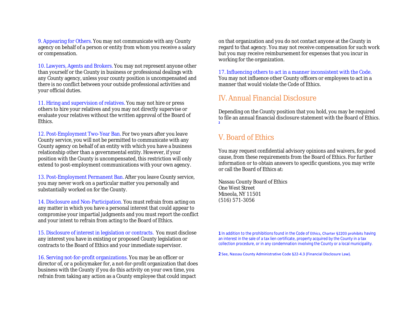9. Appearing for Others. You may not communicate with any County agency on behalf of a person or entity from whom you receive a salary or compensation.

10. Lawyers, Agents and Brokers. You may not represent anyone other than yourself or the County in business or professional dealings with any County agency, unless your county position is uncompensated and there is no conflict between your outside professional activities and your official duties.

11. Hiring and supervision of relatives. You may not hire or press others to hire your relatives and you may not directly supervise or evaluate your relatives without the written approval of the Board of Ethics.

12. Post-Employment Two-Year Ban. For two years after you leave County service, you will not be permitted to communicate with any County agency on behalf of an entity with which you have a business relationship other than a governmental entity. However, if your position with the County is uncompensated, this restriction will only extend to post-employment communications with your own agency.

13. Post-Employment Permanent Ban. After you leave County service, you may never work on a particular matter you personally and substantially worked on for the County.

14. Disclosure and Non-Participation. You must refrain from acting on any matter in which you have a personal interest that could appear to compromise your impartial judgments and you must report the conflict and your intent to refrain from acting to the Board of Ethics.

15. Disclosure of interest in legislation or contracts. You must disclose any interest you have in existing or proposed County legislation or contracts to the Board of Ethics and your immediate supervisor.

16. Serving not-for-profit organizations. You may be an officer or director of, or a policymaker for, a not-for-profit organization that does business with the County if you do this activity on your own time, you refrain from taking any action as a County employee that could impact

on that organization and you do not contact anyone at the County in regard to that agency. You may not receive compensation for such work but you may receive reimbursement for expenses that you incur in working for the organization.

17. Influencing others to act in a manner inconsistent with the Code. You may not influence other County officers or employees to act in a manner that would violate the Code of Ethics.

#### IV. Annual Financial Disclosure

Depending on the County position that you hold, you may be required to file an annual financial disclosure statement with the Board of Ethics. **2**

### V. Board of Ethics

You may request confidential advisory opinions and waivers, for good cause, from these requirements from the Board of Ethics. For further information or to obtain answers to specific questions, you may write or call the Board of Ethics at:

Nassau County Board of Ethics One West Street Mineola, NY 11501 (516) 571-3056

**1** In addition to the prohibitions found in the Code of Ethics, Charter §2203 prohibits having an interest in the sale of a tax lien certificate, property acquired by the County in a tax collection procedure, or in any condemnation involving the County or a local municipality.

**2** See, Nassau County Administrative Code §22-4.3 (Financial Disclosure Law).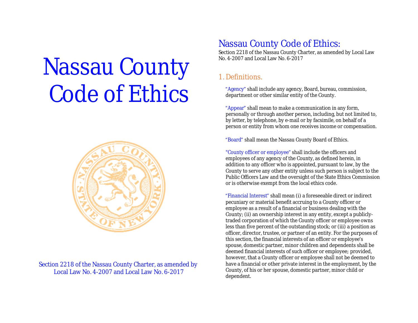# Nassau County Code of Ethics



Section 2218 of the Nassau County Charter, as amended by Local Law No. 4-2007 and Local Law No. 6-2017

## Nassau County Code of Ethics:

Section 2218 of the Nassau County Charter, as amended by Local Law No. 4-2007 and Local Law No. 6-2017

### 1. Definitions.

"Agency" shall include any agency, Board, bureau, commission, department or other similar entity of the County.

"Appear" shall mean to make a communication in any form, personally or through another person, including, but not limited to, by letter, by telephone, by e-mail or by facsimile, on behalf of a person or entity from whom one receives income or compensation.

"Board" shall mean the Nassau County Board of Ethics.

"County officer or employee" shall include the officers and employees of any agency of the County, as defined herein, in addition to any officer who is appointed, pursuant to law, by the County to serve any other entity unless such person is subject to the Public Officers Law and the oversight of the State Ethics Commission or is otherwise exempt from the local ethics code.

"Financial Interest" shall mean (i) a foreseeable direct or indirect pecuniary or material benefit accruing to a County officer or employee as a result of a financial or business dealing with the County; (ii) an ownership interest in any entity, except a publiclytraded corporation of which the County officer or employee owns less than five percent of the outstanding stock; or (iii) a position as officer, director, trustee, or partner of an entity. For the purposes of this section, the financial interests of an officer or employee's spouse, domestic partner, minor children and dependents shall be deemed financial interests of such officer or employee; provided, however, that a County officer or employee shall not be deemed to have a financial or other private interest in the employment, by the County, of his or her spouse, domestic partner, minor child or dependent.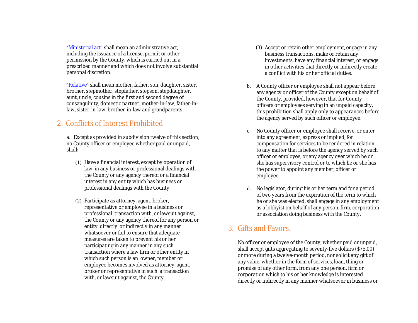"Ministerial act" shall mean an administrative act, including the issuance of a license, permit or other permission by the County, which is carried out in a prescribed manner and which does not involve substantial personal discretion.

"Relative" shall mean mother, father, son, daughter, sister, brother, stepmother, stepfather, stepson, stepdaughter, aunt, uncle, cousins in the first and second degree of consanguinity, domestic partner, mother-in-law, father-inlaw, sister-in-law, brother-in-law and grandparents.

### 2. Conflicts of Interest Prohibited

a. Except as provided in subdivision twelve of this section, no County officer or employee whether paid or unpaid, shall:

- (1) Have a financial interest, except by operation of law, in any business or professional dealings with the County or any agency thereof or a financial interest in any entity which has business or professional dealings with the County.
- (2) Participate as attorney, agent, broker, representative or employee in a business or professional transaction with, or lawsuit against, the County or any agency thereof for any person or entity directly or indirectly in any manner whatsoever or fail to ensure that adequate measures are taken to prevent his or her participating in any manner in any such transaction where a law firm or other entity in which such person is an owner, member or employee becomes involved as attorney, agent, broker or representative in such a transaction with, or lawsuit against, the County.
- (3) Accept or retain other employment, engage in any business transactions, make or retain any investments, have any financial interest, or engage in other activities that directly or indirectly create a conflict with his or her official duties.
- b. A County officer or employee shall not appear before any agency or officer of the County except on behalf of the County, provided, however, that for County officers or employees serving in an unpaid capacity, this prohibition shall apply only to appearances before the agency served by such officer or employee.
- c. No County officer or employee shall receive, or enter into any agreement, express or implied, for compensation for services to be rendered in relation to any matter that is before the agency served by such officer or employee, or any agency over which he or she has supervisory control or to which he or she has the power to appoint any member, officer or employee.
- d. No legislator, during his or her term and for a period of two years from the expiration of the term to which he or she was elected, shall engage in any employment as a lobbyist on behalf of any person, firm, corporation or association doing business with the County.

#### 3. Gifts and Favors.

No officer or employee of the County, whether paid or unpaid, shall accept gifts aggregating to seventy-five dollars (\$75.00) or more during a twelve-month period, nor solicit any gift of any value, whether in the form of services, loan, thing or promise of any other form, from any one person, firm or corporation which to his or her knowledge is interested directly or indirectly in any manner whatsoever in business or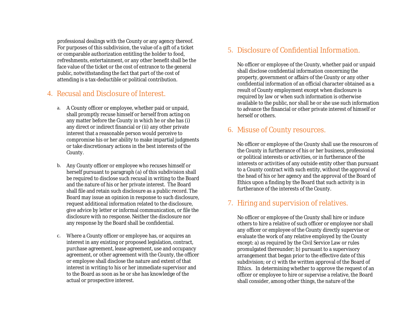professional dealings with the County or any agency thereof. For purposes of this subdivision, the value of a gift of a ticket or comparable authorization entitling the holder to food, refreshments, entertainment, or any other benefit shall be the face value of the ticket or the cost of entrance to the general public, notwithstanding the fact that part of the cost of attending is a tax-deductible or political contribution.

### 4. Recusal and Disclosure of Interest.

- a. A County officer or employee, whether paid or unpaid, shall promptly recuse himself or herself from acting on any matter before the County in which he or she has (i) any direct or indirect financial or (ii) any other private interest that a reasonable person would perceive to compromise his or her ability to make impartial judgments or take discretionary actions in the best interests of the County.
- b. Any County officer or employee who recuses himself or herself pursuant to paragraph (a) of this subdivision shall be required to disclose such recusal in writing to the Board and the nature of his or her private interest. The Board shall file and retain such disclosure as a public record. The Board may issue an opinion in response to such disclosure, request additional information related to the disclosure, give advice by letter or informal communication, or file the disclosure with no response. Neither the disclosure nor any response by the Board shall be confidential.
- c. Where a County officer or employee has, or acquires an interest in any existing or proposed legislation, contract, purchase agreement, lease agreement, use and occupancy agreement, or other agreement with the County, the officer or employee shall disclose the nature and extent of that interest in writing to his or her immediate supervisor and to the Board as soon as he or she has knowledge of the actual or prospective interest.

#### 5. Disclosure of Confidential Information.

No officer or employee of the County, whether paid or unpaid shall disclose confidential information concerning the property, government or affairs of the County or any other confidential information of an official character obtained as a result of County employment except when disclosure is required by law or when such information is otherwise available to the public, nor shall he or she use such information to advance the financial or other private interest of himself or herself or others.

#### 6. Misuse of County resources.

No officer or employee of the County shall use the resources of the County in furtherance of his or her business, professional or political interests or activities, or in furtherance of the interests or activities of any outside entity other than pursuant to a County contract with such entity, without the approval of the head of his or her agency and the approval of the Board of Ethics upon a finding by the Board that such activity is in furtherance of the interests of the County.

#### 7. Hiring and supervision of relatives.

No officer or employee of the County shall hire or induce others to hire a relative of such officer or employee nor shall any officer or employee of the County directly supervise or evaluate the work of any relative employed by the County except: a) as required by the Civil Service Law or rules promulgated thereunder; b) pursuant to a supervisory arrangement that began prior to the effective date of this subdivision; or c) with the written approval of the Board of Ethics. In determining whether to approve the request of an officer or employee to hire or supervise a relative, the Board shall consider, among other things, the nature of the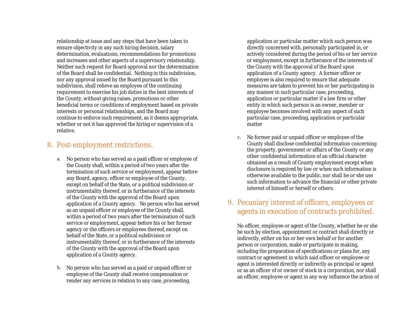relationship at issue and any steps that have been taken to ensure objectivity in any such hiring decision, salary determination, evaluations, recommendations for promotions and increases and other aspects of a supervisory relationship. Neither such request for Board approval nor the determination of the Board shall be confidential. Nothing in this subdivision, nor any approval issued by the Board pursuant to this subdivision, shall relieve an employee of the continuing requirement to exercise his job duties in the best interests of the County, without giving raises, promotions or other beneficial terms or conditions of employment based on private interests or personal relationships, and the Board may continue to enforce such requirement, as it deems appropriate, whether or not it has approved the hiring or supervision of a relative.

#### 8. Post-employment restrictions.

- a. No person who has served as a paid officer or employee of the County shall, within a period of two years after the termination of such service or employment, appear before any Board, agency, officer or employee of the County, except on behalf of the State, or a political subdivision or instrumentality thereof, or in furtherance of the interests of the County with the approval of the Board upon application of a County agency. No person who has served as an unpaid officer or employee of the County shall, within a period of two years after the termination of such service or employment, appear before his or her former agency or the officers or employees thereof, except on behalf of the State, or a political subdivision or instrumentality thereof, or in furtherance of the interests of the County with the approval of the Board upon application of a County agency.
- b. No person who has served as a paid or unpaid officer or employee of the County shall receive compensation or render any services in relation to any case, proceeding,

application or particular matter which such person was directly concerned with, personally participated in, or actively considered during the period of his or her service or employment, except in furtherance of the interests of the County with the approval of the Board upon application of a County agency. A former officer or employee is also required to ensure that adequate measures are taken to prevent his or her participating in any manner in such particular case, proceeding, application or particular matter if a law firm or other entity in which such person is an owner, member or employee becomes involved with any aspect of such particular case, proceeding, application or particular matter

c. No former paid or unpaid officer or employee of the County shall disclose confidential information concerning the property, government or affairs of the County or any other confidential information of an official character obtained as a result of County employment except when disclosure is required by law or when such information is otherwise available to the public, nor shall he or she use such information to advance the financial or other private interest of himself or herself or others.

#### 9. Pecuniary interest of officers, employees or agents in execution of contracts prohibited.

No officer, employee or agent of the County, whether he or she be such by election, appointment or contract shall directly or indirectly, either on his or her own behalf or for another person or corporation, make or participate in making, including the preparation of specifications or plans for, any contract or agreement in which said officer or employee or agent is interested directly or indirectly as principal or agent or as an officer of or owner of stock in a corporation, nor shall an officer, employee or agent in any way influence the action of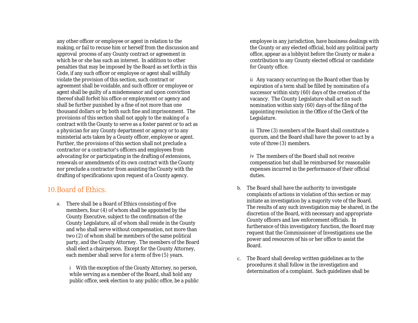any other officer or employee or agent in relation to the making, or fail to recuse him or herself from the discussion and approval process of any County contract or agreement in which he or she has such an interest. In addition to other penalties that may be imposed by the Board as set forth in this Code, if any such officer or employee or agent shall willfully violate the provision of this section, such contract or agreement shall be voidable, and such officer or employee or agent shall be guilty of a misdemeanor and upon conviction thereof shall forfeit his office or employment or agency and shall be further punished by a fine of not more than one thousand dollars or by both such fine and imprisonment. The provisions of this section shall not apply to the making of a contract with the County to serve as a foster parent or to act as a physician for any County department or agency or to any ministerial acts taken by a County officer, employee or agent. Further, the provisions of this section shall not preclude a contractor or a contractor's officers and employees from advocating for or participating in the drafting of extensions, renewals or amendments of its own contract with the County nor preclude a contractor from assisting the County with the drafting of specifications upon request of a County agency.

#### 10.Board of Ethics.

a. There shall be a Board of Ethics consisting of five members, four (4) of whom shall be appointed by the County Executive, subject to the confirmation of the County Legislature, all of whom shall reside in the County and who shall serve without compensation, not more than two (2) of whom shall be members of the same political party, and the County Attorney. The members of the Board shall elect a chairperson. Except for the County Attorney, each member shall serve for a term of five (5) years.

i With the exception of the County Attorney, no person, while serving as a member of the Board, shall hold any public office, seek election to any public office, be a public

employee in any jurisdiction, have business dealings with the County or any elected official, hold any political party office, appear as a lobbyist before the County or make a contribution to any County elected official or candidate for County office.

ii Any vacancy occurring on the Board other than by expiration of a term shall be filled by nomination of a successor within sixty (60) days of the creation of the vacancy. The County Legislature shall act on such nomination within sixty (60) days of the filing of the appointing resolution in the Office of the Clerk of the Legislature.

iii Three (3) members of the Board shall constitute a quorum, and the Board shall have the power to act by a vote of three (3) members.

iv The members of the Board shall not receive compensation but shall be reimbursed for reasonable expenses incurred in the performance of their official duties.

- b. The Board shall have the authority to investigate complaints of actions in violation of this section or may initiate an investigation by a majority vote of the Board. The results of any such investigation may be shared, in the discretion of the Board, with necessary and appropriate County officers and law enforcement officials. In furtherance of this investigatory function, the Board may request that the Commissioner of Investigations use the power and resources of his or her office to assist the Board.
- c. The Board shall develop written guidelines as to the procedures it shall follow in the investigation and determination of a complaint. Such guidelines shall be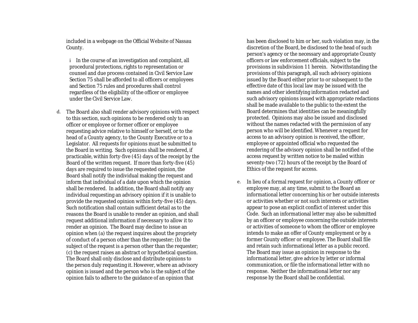included in a webpage on the Official Website of Nassau County.

i In the course of an investigation and complaint, all procedural protections, rights to representation or counsel and due process contained in Civil Service Law Section 75 shall be afforded to all officers or employees and Section 75 rules and procedures shall control regardless of the eligibility of the officer or employee under the Civil Service Law.

d. The Board also shall render advisory opinions with respect to this section, such opinions to be rendered only to an officer or employee or former officer or employee requesting advice relative to himself or herself, or to the head of a County agency, to the County Executive or to a Legislator. All requests for opinions must be submitted to the Board in writing. Such opinions shall be rendered, if practicable, within forty-five (45) days of the receipt by the Board of the written request. If more than forty-five (45) days are required to issue the requested opinion, the Board shall notify the individual making the request and inform that individual of a date upon which the opinion shall be rendered. In addition, the Board shall notify any individual requesting an advisory opinion if it is unable to provide the requested opinion within forty-five (45) days. Such notification shall contain sufficient detail as to the reasons the Board is unable to render an opinion, and shall request additional information if necessary to allow it to render an opinion. The Board may decline to issue an opinion when (a) the request inquires about the propriety of conduct of a person other than the requester; (b) the subject of the request is a person other than the requester; (c) the request raises an abstract or hypothetical question. The Board shall only disclose and distribute opinions to the person duly requesting it. However, where an advisory opinion is issued and the person who is the subject of the opinion fails to adhere to the guidance of an opinion that

has been disclosed to him or her, such violation may, in the discretion of the Board, be disclosed to the head of such person's agency or the necessary and appropriate County officers or law enforcement officials, subject to the provisions in subdivision 11 herein. Notwithstanding the provisions of this paragraph, all such advisory opinions issued by the Board either prior to or subsequent to the effective date of this local law may be issued with the names and other identifying information redacted and such advisory opinions issued with appropriate redactions shall be made available to the public to the extent the Board determines that identities can be meaningfully protected. Opinions may also be issued and disclosed without the names redacted with the permission of any person who will be identified. Whenever a request for access to an advisory opinion is received, the officer, employee or appointed official who requested the rendering of the advisory opinion shall be notified of the access request by written notice to be mailed within seventy-two (72) hours of the receipt by the Board of Ethics of the request for access.

e. In lieu of a formal request for opinion, a County officer or employee may, at any time, submit to the Board an informational letter concerning his or her outside interests or activities whether or not such interests or activities appear to pose an explicit conflict of interest under this Code. Such an informational letter may also be submitted by an officer or employee concerning the outside interests or activities of someone to whom the officer or employee intends to make an offer of County employment or by a former County officer or employee. The Board shall file and retain such informational letter as a public record. The Board may issue an opinion in response to the informational letter, give advice by letter or informal communication, or file the informational letter with no response. Neither the informational letter nor any response by the Board shall be confidential.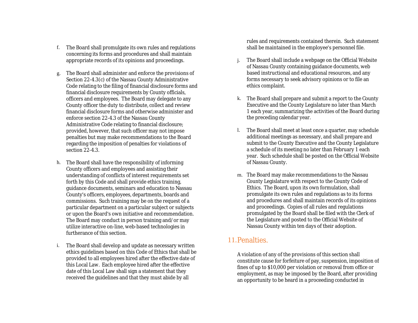- f. The Board shall promulgate its own rules and regulations concerning its forms and procedures and shall maintain appropriate records of its opinions and proceedings.
- g. The Board shall administer and enforce the provisions of Section 22-4.3(c) of the Nassau County Administrative Code relating to the filing of financial disclosure forms and financial disclosure requirements by County officials, officers and employees. The Board may delegate to any County officer the duty to distribute, collect and review financial disclosure forms and otherwise administer and enforce section 22-4.3 of the Nassau County Administrative Code relating to financial disclosure; provided, however, that such officer may not impose penalties but may make recommendations to the Board regarding the imposition of penalties for violations of section 22-4.3.
- h. The Board shall have the responsibility of informing County officers and employees and assisting their understanding of conflicts of interest requirements set forth by this Code and shall provide ethics training, guidance documents, seminars and education to Nassau County's officers, employees, departments, boards and commissions. Such training may be on the request of a particular department on a particular subject or subjects or upon the Board's own initiative and recommendation. The Board may conduct in person training and/or may utilize interactive on-line, web-based technologies in furtherance of this section.
- i. The Board shall develop and update as necessary written ethics guidelines based on this Code of Ethics that shall be provided to all employees hired after the effective date of this Local Law. Each employee hired after the effective date of this Local Law shall sign a statement that they received the guidelines and that they must abide by all

rules and requirements contained therein. Such statement shall be maintained in the employee's personnel file.

- j. The Board shall include a webpage on the Official Website of Nassau County containing guidance documents, web based instructional and educational resources, and any forms necessary to seek advisory opinions or to file an ethics complaint.
- k. The Board shall prepare and submit a report to the County Executive and the County Legislature no later than March 1 each year, summarizing the activities of the Board during the preceding calendar year.
- l. The Board shall meet at least once a quarter, may schedule additional meetings as necessary, and shall prepare and submit to the County Executive and the County Legislature a schedule of its meeting no later than February 1 each year. Such schedule shall be posted on the Official Website of Nassau County.
- m. The Board may make recommendations to the Nassau County Legislature with respect to the County Code of Ethics. The Board, upon its own formulation, shall promulgate its own rules and regulations as to its forms and procedures and shall maintain records of its opinions and proceedings. Copies of all rules and regulations promulgated by the Board shall be filed with the Clerk of the Legislature and posted to the Official Website of Nassau County within ten days of their adoption.

#### 11.Penalties.

A violation of any of the provisions of this section shall constitute cause for forfeiture of pay, suspension, imposition of fines of up to \$10,000 per violation or removal from office or employment, as may be imposed by the Board, after providing an opportunity to be heard in a proceeding conducted in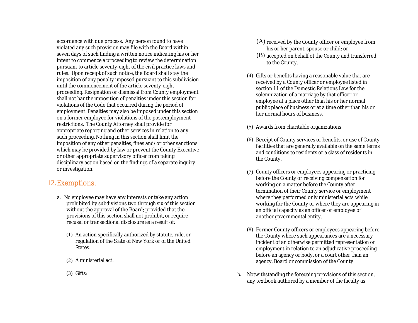accordance with due process. Any person found to have violated any such provision may file with the Board within seven days of such finding a written notice indicating his or her intent to commence a proceeding to review the determination pursuant to article seventy-eight of the civil practice laws and rules. Upon receipt of such notice, the Board shall stay the imposition of any penalty imposed pursuant to this subdivision until the commencement of the article seventy-eight proceeding. Resignation or dismissal from County employment shall not bar the imposition of penalties under this section for violations of the Code that occurred during the period of employment. Penalties may also be imposed under this section on a former employee for violations of the postemployment restrictions. The County Attorney shall provide for appropriate reporting and other services in relation to any such proceeding. Nothing in this section shall limit the imposition of any other penalties, fines and/or other sanctions which may be provided by law or prevent the County Executive or other appropriate supervisory officer from taking disciplinary action based on the findings of a separate inquiry or investigation.

#### 12.Exemptions.

- a. No employee may have any interests or take any action prohibited by subdivisions two through six of this section without the approval of the Board; provided that the provisions of this section shall not prohibit, or require recusal or transactional disclosure as a result of:
	- (1) An action specifically authorized by statute, rule, or regulation of the State of New York or of the United **States**
	- (2) A ministerial act.
	- (3) Gifts:
- (A) received by the County officer or employee from his or her parent, spouse or child; or
- (B) accepted on behalf of the County and transferred to the County.
- (4) Gifts or benefits having a reasonable value that are received by a County officer or employee listed in section 11 of the Domestic Relations Law for the solemnization of a marriage by that officer or employee at a place other than his or her normal public place of business or at a time other than his or her normal hours of business.
- (5) Awards from charitable organizations
- (6) Receipt of County services or benefits, or use of County facilities that are generally available on the same terms and conditions to residents or a class of residents in the County.
- (7) County officers or employees appearing or practicing before the County or receiving compensation for working on a matter before the County after termination of their County service or employment where they performed only ministerial acts while working for the County or where they are appearing in an official capacity as an officer or employee of another governmental entity.
- (8) Former County officers or employees appearing before the County where such appearances are a necessary incident of an otherwise permitted representation or employment in relation to an adjudicative proceeding before an agency or body, or a court other than an agency, Board or commission of the County.
- b. Notwithstanding the foregoing provisions of this section, any textbook authored by a member of the faculty as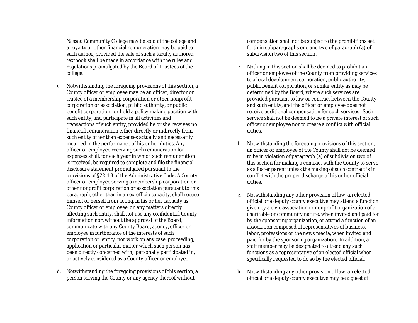Nassau Community College may be sold at the college and a royalty or other financial remuneration may be paid to such author, provided the sale of such a faculty authored textbook shall be made in accordance with the rules and regulations promulgated by the Board of Trustees of the college.

- c. Notwithstanding the foregoing provisions of this section, a County officer or employee may be an officer, director or trustee of a membership corporation or other nonprofit corporation or association, public authority, or public benefit corporation, or hold a policy making position with such entity, and participate in all activities and transactions of such entity, provided he or she receives no financial remuneration either directly or indirectly from such entity other than expenses actually and necessarily incurred in the performance of his or her duties. Any officer or employee receiving such remuneration for expenses shall, for each year in which such remuneration is received, be required to complete and file the financial disclosure statement promulgated pursuant to the provisions of §22.4.3 of the Administrative Code. A County officer or employee serving a membership corporation or other nonprofit corporation or association pursuant to this paragraph, other than in an ex-officio capacity, shall recuse himself or herself from acting, in his or her capacity as County officer or employee, on any matters directly affecting such entity, shall not use any confidential County information nor, without the approval of the Board, communicate with any County Board, agency, officer or employee in furtherance of the interests of such corporation or entity nor work on any case, proceeding, application or particular matter which such person has been directly concerned with, personally participated in, or actively considered as a County officer or employee.
- d. Notwithstanding the foregoing provisions of this section, a person serving the County or any agency thereof without

compensation shall not be subject to the prohibitions set forth in subparagraphs one and two of paragraph (a) of subdivision two of this section.

- e. Nothing in this section shall be deemed to prohibit an officer or employee of the County from providing services to a local development corporation, public authority, public benefit corporation, or similar entity as may be determined by the Board, where such services are provided pursuant to law or contract between the County and such entity, and the officer or employee does not receive additional compensation for such services. Such service shall not be deemed to be a private interest of such officer or employee nor to create a conflict with official duties.
- f. Notwithstanding the foregoing provisions of this section, an officer or employee of the County shall not be deemed to be in violation of paragraph (a) of subdivision two of this section for making a contract with the County to serve as a foster parent unless the making of such contract is in conflict with the proper discharge of his or her official duties.
- g. Notwithstanding any other provision of law, an elected official or a deputy county executive may attend a function given by a civic association or nonprofit organization of a charitable or community nature, when invited and paid for by the sponsoring organization, or attend a function of an association composed of representatives of business, labor, professions or the news media, when invited and paid for by the sponsoring organization. In addition, a staff member may be designated to attend any such functions as a representative of an elected official when specifically requested to do so by the elected official.
- h. Notwithstanding any other provision of law, an elected official or a deputy county executive may be a guest at